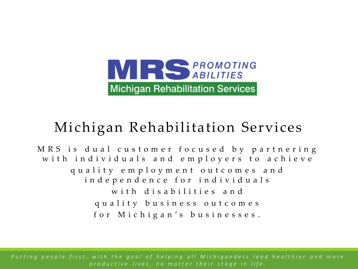

## Michigan Rehabilitation Services

MRS is dual customer focused by partnering with individuals and employers to achieve quality employment outcomes and i n d e p e n d e n c e f o r i n d i v i d u a l s with disabilities and quality business outcomes f o r M i c h i g a n ' s b u s i n e s s e s .

P ut ting people first, with the goal of helping all Michiganders lead healthier and more *p r o d u c t i v e l i v e s , n o m a t t e r t h e i r s t a g e i n l i f e .*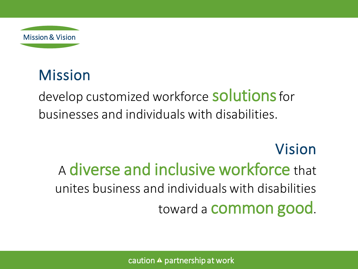

# Mission

develop customized workforce **solutions** for businesses and individuals with disabilities.

# Vision A diverse and inclusive workforce that unites business and individuals with disabilities toward a common good.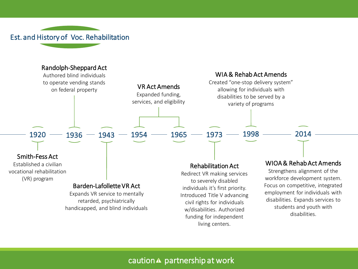Est. and History of Voc. Rehabilitation

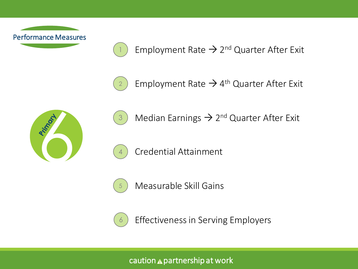

Employment Rate  $\rightarrow$  2<sup>nd</sup> Quarter After Exit



1

Employment Rate  $\rightarrow$  4<sup>th</sup> Quarter After Exit





Median Earnings  $\rightarrow$  2<sup>nd</sup> Quarter After Exit



4

Measurable Skill Gains

Credential Attainment



Effectiveness in Serving Employers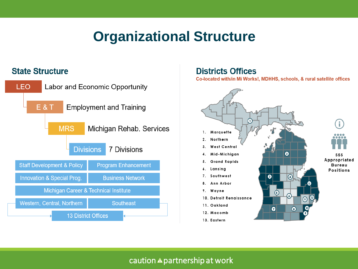### **Organizational Structure**

#### **State Structure**



#### **Districts Offices**

Co-located with/in Mi Works!, MDHHS, schools, & rural satellite offices

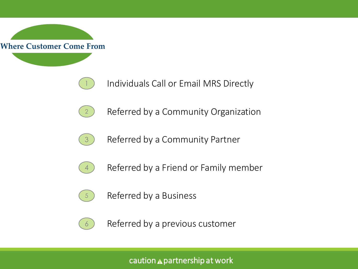

- Individuals Call or Email MRS Directly
- 2 Referred by a Community Organization
- 3 Referred by a Community Partner
- 4 Referred by a Friend or Family member
- 5 Referred by a Business



1

Referred by a previous customer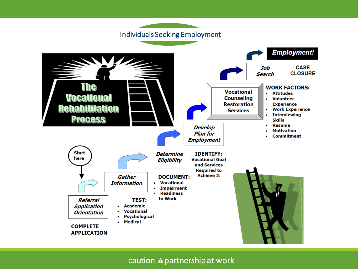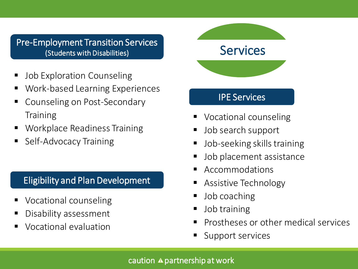#### Pre-Employment Transition Services (Students with Disabilities)

- **Job Exploration Counseling**
- Work-based Learning Experiences
- Counseling on Post-Secondary **Training**
- Workplace Readiness Training
- **Self-Advocacy Training**

#### Eligibility and Plan Development

- Vocational counseling
- Disability assessment
- Vocational evaluation

**Services** 

#### IPE Services

- Vocational counseling
- Job search support
- Job-seeking skills training
- Job placement assistance
- **Accommodations**
- Assistive Technology
- Job coaching
- **■** Job training
- Prostheses or other medical services
- Support services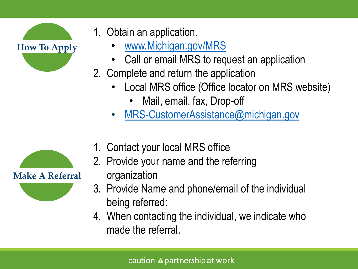

- 1. Obtain an application.
	- [www.Michigan.gov/MRS](http://www.michigan.gov/MRS)
	- Call or email MRS to request an application
- 2. Complete and return the application
	- Local MRS office (Office locator on MRS website)
		- Mail, email, fax, Drop-off
	- [MRS-CustomerAssistance@michigan.gov](mailto:MRS-CustomerAssistance@michigan.gov)



- 1. Contact your local MRS office
- 2. Provide your name and the referring
	- organization
- 3. Provide Name and phone/email of the individual being referred:
- 4. When contacting the individual, we indicate who made the referral.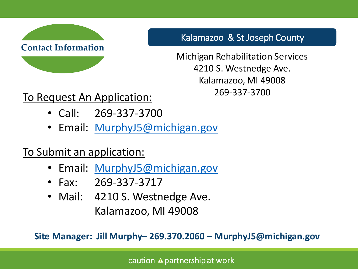

Kalamazoo & St Joseph County

Michigan Rehabilitation Services 4210 S. Westnedge Ave. Kalamazoo, MI 49008 269-337-3700

To Request An Application:

- Call: 269-337-3700
- Email: [MurphyJ5@michigan.gov](mailto:MurphyJ5@michigan.gov)

To Submit an application:

- Email: [MurphyJ5@michigan.gov](mailto:MurphyJ5@michigan.gov)
- Fax: 269-337-3717
- Mail: 4210 S. Westnedge Ave. Kalamazoo, MI 49008

**Site Manager: Jill Murphy– 269.370.2060 – MurphyJ5@michigan.gov**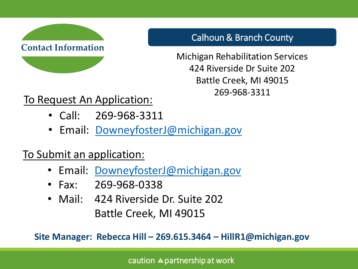

Calhoun & Branch County

Michigan Rehabilitation Services 424 Riverside Dr Suite 202 Battle Creek, MI 49015 269-968-3311

### To Request An Application:

- Call: 269-968-3311
- Email: [DowneyfosterJ@michigan.gov](mailto:MurphyJ5@michigan.gov)

### To Submit an application:

- Email: [DowneyfosterJ@michigan.gov](mailto:DowneyfosterJ@michigan.gov)
- Fax: 269-968-0338
- Mail: 424 Riverside Dr. Suite 202 Battle Creek, MI 49015

**Site Manager: Rebecca Hill – 269.615.3464 – HillR1@michigan.gov**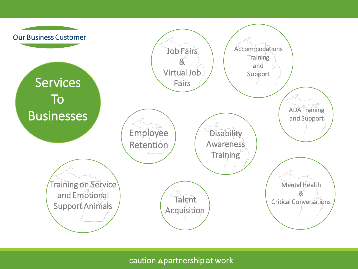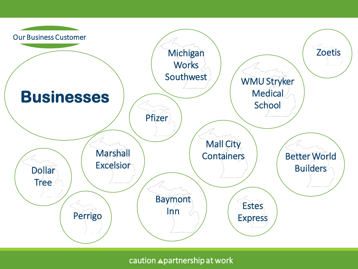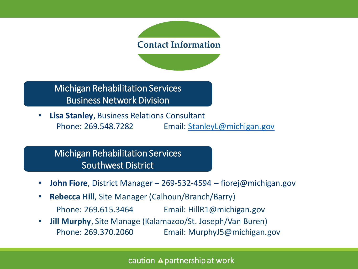# **Contact Information**

Michigan Rehabilitation Services Business Network Division

• **Lisa Stanley**, Business Relations Consultant Phone: 269.548.7282 Email: **[StanleyL@michigan.gov](mailto:StanleyL@michigan.gov)** 

Michigan Rehabilitation Services Southwest District

- **John Fiore**, District Manager 269-532-4594 fiorej@michigan.gov
- **Rebecca Hill**, Site Manager (Calhoun/Branch/Barry) Phone: 269.615.3464 Email: HillR1@michigan.gov
- **Jill Murphy**, Site Manage (Kalamazoo/St. Joseph/Van Buren) Phone: 269.370.2060 Email: MurphyJ5@michigan.gov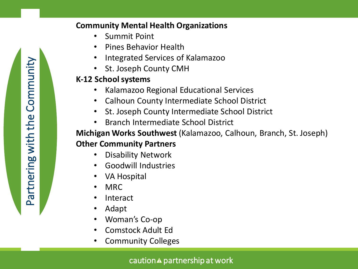#### **Community Mental Health Organizations**

- Summit Point
- Pines Behavior Health
- Integrated Services of Kalamazoo
- St. Joseph County CMH

#### **K-12 School systems**

- Kalamazoo Regional Educational Services
- Calhoun County Intermediate School District
- St. Joseph County Intermediate School District
- Branch Intermediate School District

#### **Michigan Works Southwest** (Kalamazoo, Calhoun, Branch, St. Joseph) **Other Community Partners**

- Disability Network
- Goodwill Industries
- VA Hospital
- MRC
- **Interact**
- Adapt
- Woman's Co-op
- Comstock Adult Ed
- Community Colleges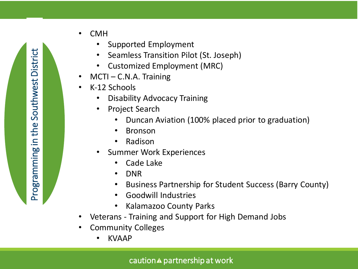- CMH
	- Supported Employment
	- Seamless Transition Pilot (St. Joseph)
	- Customized Employment (MRC)
- $MCTI C.N.A.$  Training
- K-12 Schools
	- Disability Advocacy Training
	- Project Search
		- Duncan Aviation (100% placed prior to graduation)
		- Bronson
		- Radison
	- Summer Work Experiences
		- Cade Lake
		- DNR
		- Business Partnership for Student Success (Barry County)
		- Goodwill Industries
		- Kalamazoo County Parks
- Veterans Training and Support for High Demand Jobs
- Community Colleges
	- KVAAP